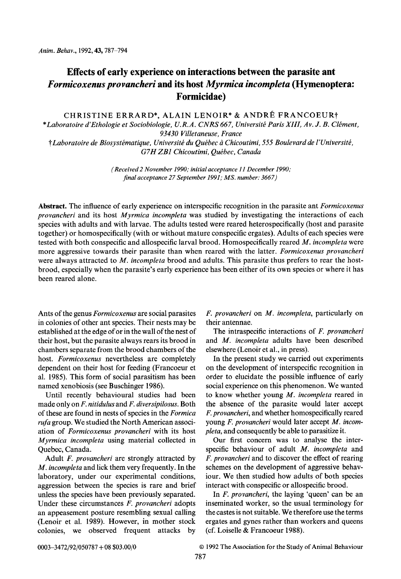# **Effects of early experience on interactions between the parasite ant**  *Formicoxenus provancheri* **and its host** *Myrmica incompleta* **(Hymenoptera: Formicidae)**

CHRISTINE ERRARD\*, ALAIN LENOIR\* & ANDRÉ FRANCOEUR t *\*Laboratoire d'Ethologie et Sociobiologie, U.R.A. CNRS667, Universitk Paris XIII, Av. J. B. Clbment, 93430 Villetaneuse, France t Laboratoire de Biosystbmatique, Universitb du Qubbec ~ Chicoutimi, 555 Boulevard de l'Universitb,* 

*G7H ZB1 Chicoutimi, Quebec, Canada* 

*(Received 2 November 1990; initial acceptance 11 December 1990; final acceptance 27 September 1991; MS. number: 3667)* 

**Abstract.** The influence of early experience on interspecific recognition in the parasite ant *Formicoxenus provancheri* and its host *Myrmica incompleta* was studied by investigating the interactions of each species with adults and with larvae. The adults tested were reared heterospecifically (host and parasite together) or homospecifically (with or without mature conspecific ergates). Adults of each species were tested with both conspecific and allospecific larval brood, Homospecifically reared *M. incompleta* were more aggressive towards their parasite than when reared with the latter. *Formicoxenus provancheri*  were always attracted to *M. incompleta* brood and adults. This parasite thus prefers to rear the hostbrood, especially when the parasite's early experience has been either of its own species or where it has been reared alone.

Ants of the genus *Formicoxenus* are social parasites in colonies of other ant species. Their nests may be established at the edge of or in the wall of the nest of their host, but the parasite always rears its brood in chambers separate from the brood chambers of the host. *Formicoxenus* nevertheless are completely dependent on their host for feeding (Francoeur et al. 1985). This form of social parasitism has been named xenobiosis (see Buschinger 1986).

Until recently behavioural studies had been made only on *F. nitidulus* and *F. diversipilosus.* Both of these are found in nests of species in the *Formica rufa* group. We studied the North American association of *Formicoxenus provancheri* with its host *Myrmica incompleta* using material collected in Quebec, Canada.

Adult *F. provancheri* are strongly attracted by *M. incompleta* and lick them very frequently. In the laboratory, under our experimental conditions, aggression between the species is rare and brief unless the species have been previously separated. Under these circumstances *F. provancheri* adopts an appeasement posture resembling sexual calling (Lenoir et al. 1989). However, in mother stock colonies, we observed frequent attacks by *F, provaneheri* on *M. incompleta,* particularly on their antennae.

The intraspecific interactions of *F. provancheri*  and *M. incompleta* adults have been described elsewhere (Lenoir et al., in press).

In the present study we carried out experiments on the development of interspecific recognition in order to elucidate the possible influence of early social experience on this phenomenon. We wanted to know whether young *M. incompleta* reared in the absence of the parasite would later accept *F. provancheri,* and whether homospecifically reared young *F, provancheri* would later accept *M. incompleta,* and consequently be able to parasitize it.

Our first concern was to analyse the interspecific behaviour of adult *M. incompleta* and *F. provancheri* and to discover the effect of rearing schemes on the development of aggressive behaviour. We then studied how adults of both species interact with conspecific or allospecific brood.

In *F. provancheri,* the laying 'queen' can be an inseminated worker, so the usual terminology for the castes is not suitable. We therefore use the terms ergates and gynes rather than workers and queens (cf. Loiselle & Francoeur 1988).

0003-3472/92/050787 + 08 \$03.00/0  $\bullet$  992 The Association for the Study of Animal Behaviour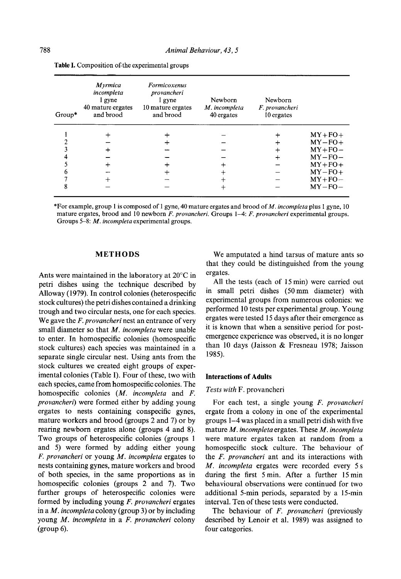| Group <sup>*</sup> | Myrmica<br>incompleta<br>1 gyne<br>40 mature ergates<br>and brood | Formicoxenus<br>provancheri<br>1 gyne<br>10 mature ergates<br>and brood | Newborn<br>M. incompleta<br>40 ergates | Newborn<br>F. provancheri<br>10 ergates |          |
|--------------------|-------------------------------------------------------------------|-------------------------------------------------------------------------|----------------------------------------|-----------------------------------------|----------|
|                    |                                                                   |                                                                         |                                        | $\div$                                  | $MY+FO+$ |
|                    |                                                                   |                                                                         |                                        | $\div$                                  | $MY-FO+$ |
|                    |                                                                   |                                                                         |                                        | $\div$                                  | $MY+FO-$ |
|                    |                                                                   |                                                                         |                                        | $\div$                                  | $MY-FO-$ |
|                    |                                                                   |                                                                         |                                        |                                         | $MY+FO+$ |
|                    |                                                                   |                                                                         |                                        |                                         | $MY-FO+$ |
|                    |                                                                   |                                                                         |                                        |                                         | $MY+FO-$ |
|                    |                                                                   |                                                                         |                                        |                                         | $MY-FO-$ |

Table I. Composition of-the experimental groups

\*For example, group 1 is composed of 1 gyne, 40 mature ergates and brood ofM. *incompleta* plus 1 gyne, 10 mature ergates, brood and 10 newborn *F. provaneheri.* Groups 1-4: *F. provancheri* experimental groups. Groups 5-8: *M. incompleta* experimental groups.

### **METHODS**

Ants were maintained in the laboratory at  $20^{\circ}$ C in petri dishes using the technique described by Alloway (1979). In control colonies (heterospecific stock cultures) the petri dishes contained a drinking trough and two circular nests, one for each species. We gave the *F. provancheri* nest an entrance of very small diameter so that *M. incompleta* were unable to enter. In homospecific colonies (homospecific stock cultures) each species was maintained in a separate single circular nest. Using ants from the stock cultures we created eight groups of experimental colonies (Table I). Four of these, two with each species, came from homospecific colonies. The homospecific colonies *(M. incompleta* and F. *provancheri)* were formed either by adding young ergates to nests containing conspecific gynes, mature workers and brood (groups 2 and 7) or by rearing newborn ergates alone (groups 4 and 8). Two groups of heterospecific colonies (groups 1 and 5) were formed by adding either young *F. provancheri* or young *M. incompleta* ergates to nests containing gynes, mature workers and brood of both species, in the same proportions as in homospecific colonies (groups 2 and 7). Two further groups of heterospecific colonies were formed by including young *F. provancheri* ergates in *a M. incompleta* colony (group 3) or by including young *M. incompleta* in *a F. provancheri* colony (group 6).

We amputated a hind tarsus of mature ants so that they could be distinguished from the young ergates.

All the tests (each of 15 min) were carried out in small petri dishes (50mm diameter) with experimental groups from numerous colonies: we performed 10 tests per experimental group. Young ergates were tested 15 days after their emergence as it is known that when a sensitive period for postemergence experience was observed, it is no longer than 10 days (Jaisson & Fresneau 1978; Jaisson 1985).

# **Interactions of Adults**

# *Tests with* F. provancheri

For each test, a single young *F. provancheri*  ergate from a colony in one of the experimental groups 1-4 was placed in a small petri dish with five mature *M. incompleta* ergates. These *M. incompleta*  were mature ergates taken at random from a homospecific stock culture. The behaviour of the *F. provancheri* ant and its interactions with *M. incompleta* ergates were recorded every 5 s during the first 5min. After a further 15min behavioural observations were continued for two additional 5-min periods, separated by a 15-min interval. Ten of these tests were conducted.

The behaviour of *F. provancheri* (previously described by Lenoir et al. 1989) was assigned to four categories.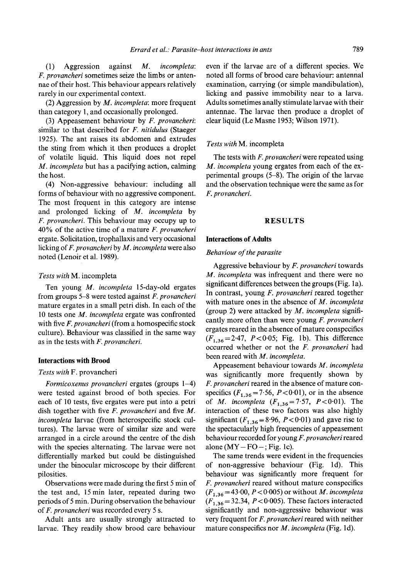(1) Aggression against *M. incompleta: F. provancheri* sometimes seize the limbs or antennae of their host. This behaviour appears relatively rarely in our experimental context.

(2) Aggression by *M. incompleta:* more frequent than category 1, and occasionally prolonged.

(3) Appeasement behaviour by *F. provancheri:*  similar to that described for *F. nitidulus* (Staeger 1925). The ant raises its abdomen and extrudes the sting from which it then produces a droplet of volatile liquid. This liquid does not repel *M. incompleta* but has a pacifying action, calming the host.

(4) Non-aggressive behaviour: including all forms of behaviour with no aggressive component. The most frequent in this category are intense and prolonged licking of *M. incompleta* by *F. provancheri.* This behaviour may occupy up to 40% of the active time of a mature *F. provancheri*  ergate. Solicitation, trophallaxis and very occasional licking ofF. *provancheri* by *M. incompleta* were also noted (Lenoir et al. 1989).

# *Tests with* M. incompleta

Ten young *M. ineompleta* 15-day-old ergates from groups 5-8 were tested against *F. provancheri*  mature ergates in a small petri dish. In each of the 10 tests one *M. incompleta* ergate was confronted with five *F. provancheri* (from a homospecific stock culture). Behaviour was classified in the same way as in the tests with *F. provancheri.* 

### **Interactions with Brood**

### *Tests with* F. provancheri

*Formicoxenus provancheri* ergates (groups 1-4) were tested against brood of both species. For each of 10 tests, five ergates were put into a petri dish together with five *F. provancheri* and five M. *incompleta* larvae (from heterospecific stock cultures). The larvae were of similar size and were arranged in a circle around the centre of the dish with the species alternating. The larvae were not differentially marked but could be distinguished under the binocular microscope by their different pilosities.

Observations were made during the first 5 min of the test and, 15 min later, repeated during two periods of 5 min. During observation the behaviour ofF. *provancheri* was recorded every 5 s.

Adult ants are usually strongly attracted to larvae. They readily show brood care behaviour even if the larvae are of a different species. We noted all forms of brood care behaviour: antennal examination, carrying (or simple mandibulation), licking and passive immobility near to a larva. Adults sometimes anally stimulate larvae with their antennae. The larvae then produce a droplet of clear liquid (Le Masne 1953; Wilson 1971).

# *Tests with* M. incompleta

The tests with *F. provancheri* were repeated using *M. incompleta* young ergates from each of the experimental groups (5-8). The origin of the larvae and the observation technique were the same as for *F. provancheri.* 

# RESULTS

# **Interactions of Adults**

# *Behaviour of the parasite*

Aggressive behaviour by *F. provancheri* towards *M. incompleta* was infrequent and there were no significant differences between the groups (Fig. la). In contrast, young *F. provancheri* reared together with mature ones in the absence of *M. incompleta*  (group 2) were attacked by *M. incompleta* significantly more often than were young *F. provancheri*  ergates reared in the absence of mature conspecifics  $(F_{1,36}=2.47, P<0.05;$  Fig. 1b). This difference occurred whether or not the *F. provancheri* had been reared with *M. incompleta.* 

Appeasement behaviour towards *M. incompleta*  was significantly more frequently shown by *F. provancheri* reared in the absence of mature conspecifics  $(F<sub>1.36</sub> = 7.56, P < 0.01)$ , or in the absence of *M. incompleta*  $(F_{1,36} = 7.57, P < 0.01)$ . The interaction of these two factors was also highly significant  $(F_{1,36} = 8.96, P < 0.01)$  and gave rise to the spectacularly high frequencies of appeasement behaviour recorded for young *F. provancheri* reared alone  $MY - FO -$ ; Fig. 1c).

The same trends were evident in the frequencies of non-aggressive behaviour (Fig. ld). This behaviour was significantly more frequent for *F. provancheri* reared without mature conspecifics (F1,36 = 43.00, P < 0'005) or without *M. incompleta*   $(F_{1,36} = 32.34, P < 0.005)$ . These factors interacted significantly and non-aggressive behaviour was very frequent for *F. provancheri* reared with neither mature conspecifics nor *M. incompleta* (Fig. 1d).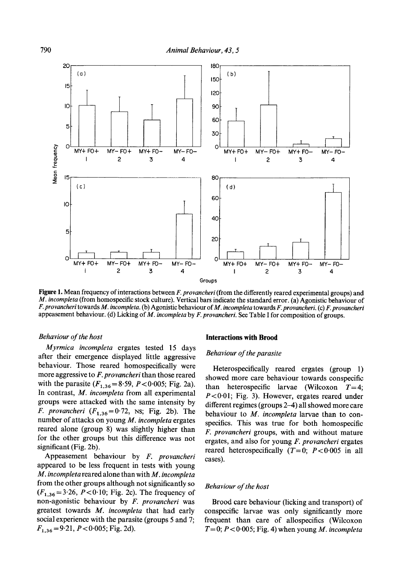

**Figure** 1. Mean frequency of interactions between *F. provancheri* (from the differently reared experimental groups) and *M. incornpleta* (from homospecific stock culture). Vertical bars indicate the standard error. (a) Agonistic behaviour of *F. provancheri towards M. incompleta.* (b) Agonistic behaviour of M. *incompleta towards F. provancheri.* (c) *F. provancheri* appeasement behaviour. (d) Licking of *M. incompleta* by *F. provancheri.* See Table I for composition of groups.

# *Behaviour of the host*

*Myrmica incompleta* ergates tested 15 days after their emergence displayed little aggressive behaviour. Those reared homospecifically were more aggressive to *F. provancheri* than those reared with the parasite  $(F_{1,36} = 8.59, P < 0.005;$  Fig. 2a). In contrast, *M. incompleta* from all experimental groups were attacked with the same intensity by *F. provancheri*  $(F_{1,36}=0.72, \text{Ns}; \text{Fig. 2b})$ . The number of attacks on young *M. incompleta* ergates reared alone (group 8) was slightly higher than for the other groups but this difference was not significant (Fig. 2b).

Appeasement behaviour by *F. provancheri*  appeared to be less frequent in tests with young *M. incompleta* reared alone than with *M. incompleta*  from the other groups although not significantly so  $(F_{1,36}=3.26, P<0.10;$  Fig. 2c). The frequency of non-agonistic behaviour by *F. provancheri* was greatest towards *M. incompleta* that had early social experience with the parasite (groups 5 and 7;  $F_{1,36} = 9.21, P < 0.005$ ; Fig. 2d).

### **Interactions with Brood**

#### *Behaviour of the parasite*

Heterospecifically reared ergates (group 1) showed more care behaviour towards conspecific than heterospecific larvae (Wilcoxon  $T=4$ ;  $P < 0.01$ ; Fig. 3). However, ergates reared under different regimes (groups 2-4) all showed more care behaviour to *M. incompleta* larvae than to conspecifics. This was true for both homospecific *F. provancheri* groups, with and without mature ergates, and also for young *F. provancheri* ergates reared heterospecifically  $(T=0; P<0.005$  in all cases).

# *Behaviour of the host*

Brood care behaviour (licking and transport) of conspecific larvae was only significantly more frequent than care of allospecifics (Wilcoxon  $T= 0$ ;  $P < 0.005$ ; Fig. 4) when young *M. incompleta*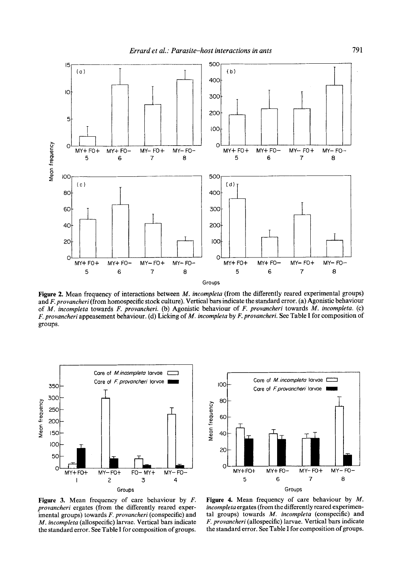

Figure 2, Mean frequency of interactions between *M. ineompleta* (from the differently reared experimental groups) and *F. provancheri* (from homospecific stock culture), Vertical bars indicate the standard error. (a) Agonistic behaviour of *M. incompleta towards F. provancheri.* (b) Agonistic behaviour of *F. provancheri towards M. incompleta.* (c) *F. provancheri* appeasement behaviour, (d) Licking of *M. incompleta* by *F. provancheri.* See Table I for composition of groups.





Figure 3. Mean frequency of care behaviour by  $F$ . *provancheri* ergates (from the differently reared experimental groups) towards *F. provancheri* (conspecific) and *M. incompleta* (allospecific) larvae. Vertical bars indicate the standard error. See Table I for composition of groups.

Figure 4. Mean frequency of care behaviour by  $M$ . *incompleta* ergates (from the differently reared experimental groups) towards *hi, incompleta* (conspecific) and *F. provancheri* (allospecific) larvae. Vertical bars indicate the standard error. See Table I for composition of groups.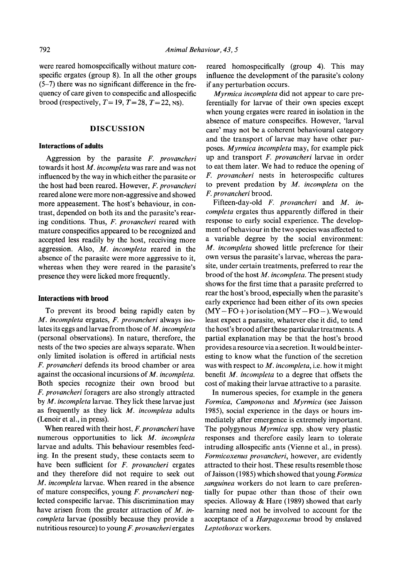were reared homospecifically without mature conspecific ergates (group 8). In all the other groups (5-7) there was no significant difference in the frequency of care given to conspecific and allospecific brood (respectively,  $T= 19$ ,  $T= 28$ ,  $T= 22$ , NS).

# DISCUSSION

# **Interactions of adults**

Aggression by the parasite *F. provancheri*  towards it host *M. incompleta* was rare and was not influenced by the way in which either the parasite or the host had been reared. However, *F. provancheri*  reared alone were more non-aggressive and showed more appeasement. The host's behaviour, in contrast, depended on both its and the parasite's rearing conditions. Thus, *F. provancheri* reared with mature conspecifics appeared to be recognized and accepted less readily by the host, receiving more aggression. Also, *M. incompleta* reared in the absence of the parasite were more aggressive to it, whereas when they were reared in the parasite's presence they were licked more frequently.

### **Interactions with brood**

To prevent its brood being rapidly eaten by *M. incompleta* ergates, *F. provaneheri* always isolates its eggs and larvae from those of M. *incompleta* (personal observations). In nature, therefore, the nests of the two species are always separate. When only limited isolation is offered in artificial nests *F. provancheri* defends its brood chamber or area against the occasional incursions of *M. ineompleta.*  Both species recognize their own brood but *F. provancheri* foragers are also strongly attracted by *M. incompleta* larvae. They lick these larvae just as frequently as they lick *M. ineompleta* adults (Lenoir et al., in press).

When reared with their host, *F. provancheri* have numerous opportunities to lick *M. ineompleta*  larvae and adults. This behaviour resembles feeding. In the present study, these contacts seem to have been sufficient for *F. provaneheri* ergates and they therefore did not require to seek out *M. incompleta* larvae. When reared in the absence of mature conspecifics, young *F. provaneheri* neglected conspecific larvae. This discrimination may have arisen from the greater attraction of *M. ineompleta* larvae (possibly because they provide a nutritious resource) to young *F. provaneheri* ergates

reared homospecifically (group 4). This may influence the development of the parasite's colony if any perturbation occurs.

*Myrmica incompleta* did not appear to care preferentially for larvae of their own species except when young ergates were reared in isolation in the absence of mature conspecifics. However, 'larval care' may not be a coherent behavioural category and the transport of larvae may have other purposes. *Myrmica ineompleta* may, for example pick up and transport *F. provancheri* larvae in order to eat them later. We had to reduce the opening of *F. provaneheri* nests in heterospecific cultures to prevent predation by *M. incompleta* on the *F. provancheri* brood.

Fifteen-day-old *F. provancheri* and *M. incompleta* ergates thus apparently differed in their response to early social experience. The development of behaviour in the two species was affected to a variable degree by the social environment: *M. ineompleta* showed little preference for their own versus the parasite's larvae, whereas the parasite, under certain treatments, preferred to rear the brood of the host *M. incompleta.* The present study shows for the first time that a parasite preferred to rear the host's brood, especially when the parasite's early experience had been either of its own species  $(MY - FO +)$  or isolation  $(MY - FO -)$ . We would least expect a parasite, whatever else it did, to tend the host's brood after these particular treatments. A partial explanation may be that the host's brood provides a resource via a secretion. It would be interesting to know what the function of the secretion was with respect to *M. incompleta,* i.e. how it might benefit *M. incompleta* to a degree that offsets the cost of making their larvae attractive to a parasite.

In numerous species, for example in the genera *Formica, Camponotus* and *Myrmica* (see Jaisson 1985), social experience in the days or hours immediately after emergence is extremely important. The polygynous *Myrmica* spp. show very plastic responses and therefore easily learn to tolerate intruding allospecific ants (Vienne et al., in press). *Formicoxenus provaneheri,* however, are evidently attracted to their host. These results resemble those of Jaisson (1985) which showed that young *Formica sanguinea* workers do not learn to care preferentially for pupae other than those of their own species. Alloway  $&$  Hare (1989) showed that early learning need not be involved to account for the acceptance of a *Harpagoxenus* brood by enslaved *Leptothorax* workers.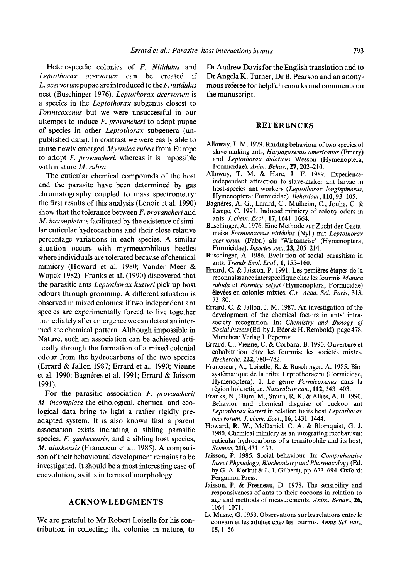Heterospecific colonies of *F. Nitidulus* and *Leptothorax acervorum* can be created if *L. acervorum* pupae are introduced to the *F. nitidulus*  nest (Buschinger 1976). *Leptothorax acervorum* is a species in the *Leptothorax* subgenus closest to *Forrnicoxenus* but we were unsuccessful in our attempts to induce *F. provancheri* to adopt pupae of species in other *Leptothorax* subgenera (unpublished data). In contrast we were easily able to cause newly emerged *Myrmica rubra* from Europe to adopt *F. provancheri,* whereas it is impossible with mature *M. rubra.* 

The cuticular chemical compounds of the host and the parasite have been determined by gas chromatography coupled to mass spectrometry: the first results of this analysis (Lenoir et al. 1990) show that the tolerance between *F. provancheri* and *M. incompleta* is facilitated by the existence of similar cuticular hydrocarbons and their close relative percentage variations in each species. A similar situation occurs with myrmecophilous beetles where individuals are tolerated because of chemical mimicry (Howard et al. 1980; Vander Meer & Wojick 1982). Franks et al. (1990) discovered that the parasitic ants *Leptothorax kutteri* pick up host odours through grooming. A different situation is observed in mixed colonies: if two independent ant species are experimentally forced to live together immediately after emergence we can detect an intermediate chemical pattern. Although impossible in Nature, such an association can be achieved artificially through the formation of a mixed colonial odour from the hydrocarbons of the two species (Errard & Jallon 1987; Errard et al. 1990; Vienne et al. 1990; Bagnères et al. 1991; Errard & Jaisson 1991).

For the parasitic association *F. provancheri! M. incompleta* the ethological, chemical and ecological data bring to light a rather rigidly preadapted system. It is also known that a parent association exists including a sibling parasitic species, *F. quebecensis,* and a sibling host species, *M. alaskensis* (Francoeur et al. 1985). A comparison of their behavioural development remains to be investigated. It should be a most interesting case of coevolution, as it is in terms of morphology.

# ACKNOWLEDGMENTS

We are grateful to Mr Robert Loiselle for his contribution in collecting the colonies in nature, to Dr Andrew Davis for the English translation and to Dr Angela K. Turner, Dr B. Pearson and an anonymous referee for helpful remarks and comments on the manuscript.

#### **REFERENCES**

- Alloway, T. M. 1979. Raiding behaviour of two species of slave-making ants, *Harpagoxenus americanus* (Emery) and *Leptothorax duloticus* Wesson (Hymenoptera, Formicidae). *Anita. Behav.,* 27, 202-210.
- Alloway, T. M. & Hare, J. F. 1989. Experienceindependent attraction to slave-maker ant larvae in host-species ant workers *(Leptothorax longispinosus,*  Hymenoptera: Formicidae). *Behaviour,* 110, 93-105.
- Bagnères, A. G., Errard, C., Mulheim, C., Joulie, C. & Lange, C. 1991. Induced mimicry of colony odors in ants. *J. chem. Ecol.*, 17, 1641-1664.
- Buschinger, A. 1976. Eine Methode zur Zucht der Gastameise *Formicoxenus nitidulus* (Nyl.) mit *Leptothorax acervorum* (Fabr.) als 'Wirtameise' (Hymenoptera, Formicidae). *Insectes soc.*, 23, 205-214.
- Buschinger, A. 1986. Evolution of social parasitism in ants. *Trends Evol. Ecol.,* 1, 155-160.
- Errard, C. & Jaisson, P. 1991. Les pemières étapes de la reconnaissance interspécifique chez les fourmis *Manica rubida* et *Formica selysi* (Hymenoptera, Formicidae) 61ev6es en colonies mixtes. *C.r. Acad. Sci. Paris,* 313, 73-80.
- Errard, C. & Jallon, J. M. 1987. An investigation of the development of the chemical factors in ants' intrasociety recognition. In: *Chemistry and Biology of Sociallnsects* (Ed. by J. Eder & H. Rembold), page 478. Miinchen: Verlag J. Peperny.
- Errard, C., Vienne, C. & Corbara, B. 1990. Ouverture et cohabitation chez les fourmis: les sociétés mixtes. *Recherche,* 222, 780-782.
- Francoeur, A., Loiselle, R. & Buschinger, A. 1985. Biosystématique de la tribu Leptothoracini (Formicidae, Hymenoptera). 1. Le genre *Formicoxenus* dans la région holarctique. *Naturaliste can.*, 112, 343-403.
- Franks, N., Blum, M., Smith, R. K. & Allies, A. B. 1990. Behavior and chemical disguise of cuckoo ant *Leptothorax kutteri* in relation to its host *Leptothorax acervorum. J. chem. Ecol.,* 16, 1431-1444.
- Howard, R. W., McDaniel, C. A. & Blomquist, G. J. 1980. Chemical mimicry as an integrating mechanism: cuticular hydrocarbons of a termitophile and its host, *Science,* 210, 431-433.
- Jaisson, P. 1985. Social behaviour. In: *Comprehensive Insect Physiology, Biochemistry and Pharmacology* (Ed. by G. A. Kerkut & L. I. Gilbert), pp.  $673–694$ . Oxford: Pergamon Press.
- Jaisson, P. & Fresneau, D. 1978. The sensibility and responsiveness of ants to their cocoons in relation to age and methods of measurements. *Anita. Behav.,* 26, 1064-1071.
- Le Masne, G. 1953. Observations sur les relations entre le couvain et les adultes chez les fourmis. *Annls Sci. nat.,*  15, 1-56.